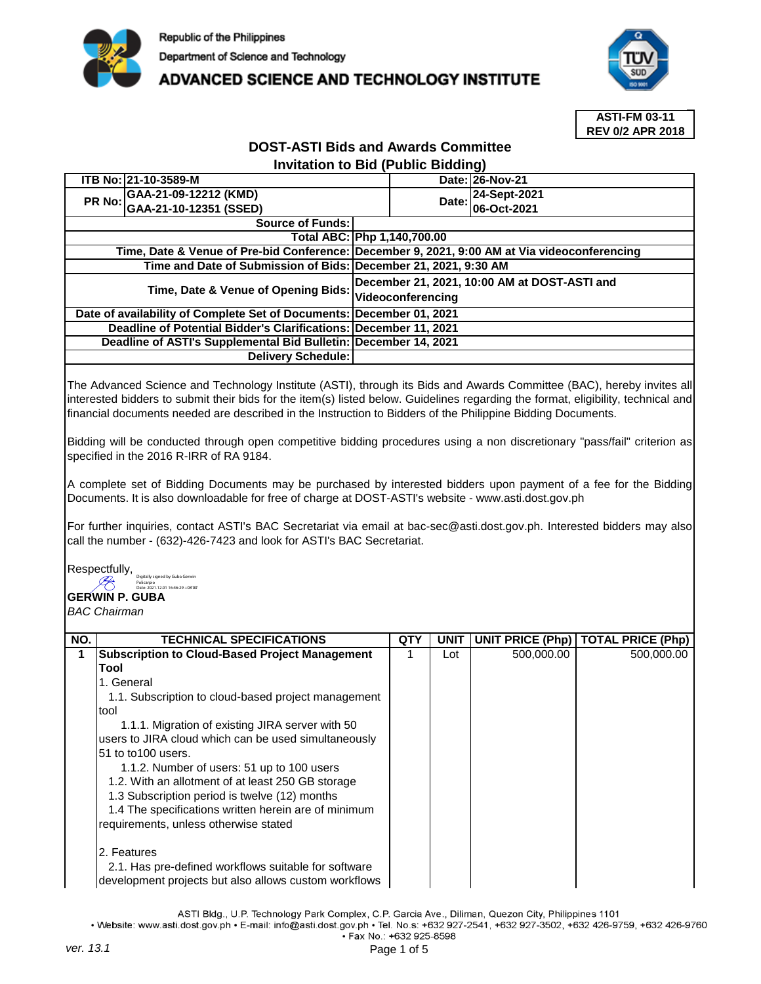

## **ADVANCED SCIENCE AND TECHNOLOGY INSTITUTE**



**ASTI-FM 03-11 REV 0/2 APR 2018**

## **DOST-ASTI Bids and Awards Committee Invitation to Bid (Public Bidding)**

| ITB No: 21-10-3589-M                                                 |                                                                 |                                                                                              | Date: 26-Nov-21    |  |  |
|----------------------------------------------------------------------|-----------------------------------------------------------------|----------------------------------------------------------------------------------------------|--------------------|--|--|
| PR No: GAA-21-09-12212 (KMD)                                         |                                                                 | Date:                                                                                        | 24-Sept-2021       |  |  |
| GAA-21-10-12351 (SSED)                                               |                                                                 |                                                                                              | <b>06-Oct-2021</b> |  |  |
| <b>Source of Funds:</b>                                              |                                                                 |                                                                                              |                    |  |  |
|                                                                      |                                                                 | Total ABC: Php 1,140,700.00                                                                  |                    |  |  |
|                                                                      |                                                                 | Time, Date & Venue of Pre-bid Conference: December 9, 2021, 9:00 AM at Via videoconferencing |                    |  |  |
| Time and Date of Submission of Bids: December 21, 2021, 9:30 AM      |                                                                 |                                                                                              |                    |  |  |
| Time, Date & Venue of Opening Bids:                                  |                                                                 | December 21, 2021, 10:00 AM at DOST-ASTI and<br>Videoconferencing                            |                    |  |  |
| Date of availability of Complete Set of Documents: December 01, 2021 |                                                                 |                                                                                              |                    |  |  |
| Deadline of Potential Bidder's Clarifications: December 11, 2021     |                                                                 |                                                                                              |                    |  |  |
|                                                                      | Deadline of ASTI's Supplemental Bid Bulletin: December 14, 2021 |                                                                                              |                    |  |  |
| Delivery Schedule:                                                   |                                                                 |                                                                                              |                    |  |  |

The Advanced Science and Technology Institute (ASTI), through its Bids and Awards Committee (BAC), hereby invites all interested bidders to submit their bids for the item(s) listed below. Guidelines regarding the format, eligibility, technical and financial documents needed are described in the Instruction to Bidders of the Philippine Bidding Documents.

Bidding will be conducted through open competitive bidding procedures using a non discretionary "pass/fail" criterion as specified in the 2016 R-IRR of RA 9184.

A complete set of Bidding Documents may be purchased by interested bidders upon payment of a fee for the Bidding Documents. It is also downloadable for free of charge at DOST-ASTI's website - www.asti.dost.gov.ph

For further inquiries, contact ASTI's BAC Secretariat via email at bac-sec@asti.dost.gov.ph. Interested bidders may also call the number - (632)-426-7423 and look for ASTI's BAC Secretariat.

Respectfully, Digitally signed by Guba Gerwin Policarpio Date: 2021.12.01 16:46:29 +08'00'

## **GERWIN P. GUBA**

*BAC Chairman*

| NO. | <b>TECHNICAL SPECIFICATIONS</b>                       | QT۱ | UNIT |            | UNIT PRICE (Php)   TOTAL PRICE (Php) |
|-----|-------------------------------------------------------|-----|------|------------|--------------------------------------|
|     | <b>Subscription to Cloud-Based Project Management</b> |     | Lot  | 500,000.00 | 500,000.00                           |
|     | Tool                                                  |     |      |            |                                      |
|     | 1. General                                            |     |      |            |                                      |
|     | 1.1. Subscription to cloud-based project management   |     |      |            |                                      |
|     | tool                                                  |     |      |            |                                      |
|     | 1.1.1. Migration of existing JIRA server with 50      |     |      |            |                                      |
|     | users to JIRA cloud which can be used simultaneously  |     |      |            |                                      |
|     | 51 to to 100 users.                                   |     |      |            |                                      |
|     | 1.1.2. Number of users: 51 up to 100 users            |     |      |            |                                      |
|     | 1.2. With an allotment of at least 250 GB storage     |     |      |            |                                      |
|     | 1.3 Subscription period is twelve (12) months         |     |      |            |                                      |
|     | 1.4 The specifications written herein are of minimum  |     |      |            |                                      |
|     | requirements, unless otherwise stated                 |     |      |            |                                      |
|     |                                                       |     |      |            |                                      |
|     | 2. Features                                           |     |      |            |                                      |
|     | 2.1. Has pre-defined workflows suitable for software  |     |      |            |                                      |
|     | development projects but also allows custom workflows |     |      |            |                                      |

ASTI Bldg., U.P. Technology Park Complex, C.P. Garcia Ave., Diliman, Quezon City, Philippines 1101

· Website: www.asti.dost.gov.ph · E-mail: info@asti.dost.gov.ph · Tel. No.s: +632 927-2541, +632 927-3502, +632 426-9759, +632 426-9760 · Fax No.: +632 925-8598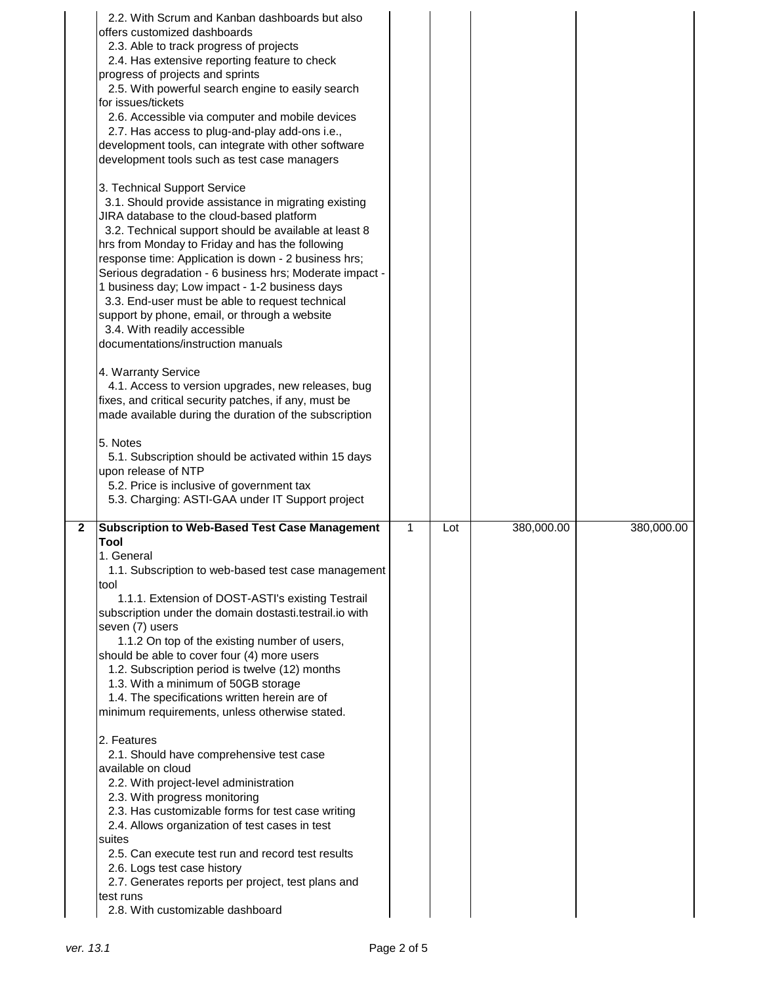|                | 2.2. With Scrum and Kanban dashboards but also<br>offers customized dashboards<br>2.3. Able to track progress of projects<br>2.4. Has extensive reporting feature to check<br>progress of projects and sprints<br>2.5. With powerful search engine to easily search<br>for issues/tickets<br>2.6. Accessible via computer and mobile devices<br>2.7. Has access to plug-and-play add-ons i.e.,<br>development tools, can integrate with other software<br>development tools such as test case managers<br>3. Technical Support Service<br>3.1. Should provide assistance in migrating existing<br>JIRA database to the cloud-based platform<br>3.2. Technical support should be available at least 8<br>hrs from Monday to Friday and has the following<br>response time: Application is down - 2 business hrs;<br>Serious degradation - 6 business hrs; Moderate impact -<br>1 business day; Low impact - 1-2 business days<br>3.3. End-user must be able to request technical<br>support by phone, email, or through a website<br>3.4. With readily accessible<br>documentations/instruction manuals<br>4. Warranty Service<br>4.1. Access to version upgrades, new releases, bug<br>fixes, and critical security patches, if any, must be<br>made available during the duration of the subscription<br>5. Notes<br>5.1. Subscription should be activated within 15 days<br>upon release of NTP<br>5.2. Price is inclusive of government tax<br>5.3. Charging: ASTI-GAA under IT Support project |              |     |            |            |
|----------------|----------------------------------------------------------------------------------------------------------------------------------------------------------------------------------------------------------------------------------------------------------------------------------------------------------------------------------------------------------------------------------------------------------------------------------------------------------------------------------------------------------------------------------------------------------------------------------------------------------------------------------------------------------------------------------------------------------------------------------------------------------------------------------------------------------------------------------------------------------------------------------------------------------------------------------------------------------------------------------------------------------------------------------------------------------------------------------------------------------------------------------------------------------------------------------------------------------------------------------------------------------------------------------------------------------------------------------------------------------------------------------------------------------------------------------------------------------------------------------------------------|--------------|-----|------------|------------|
| $\overline{2}$ | <b>Subscription to Web-Based Test Case Management</b>                                                                                                                                                                                                                                                                                                                                                                                                                                                                                                                                                                                                                                                                                                                                                                                                                                                                                                                                                                                                                                                                                                                                                                                                                                                                                                                                                                                                                                              | $\mathbf{1}$ | Lot | 380,000.00 | 380,000.00 |
|                | Tool<br>1. General<br>1.1. Subscription to web-based test case management<br>tool<br>1.1.1. Extension of DOST-ASTI's existing Testrail<br>subscription under the domain dostasti.testrail.io with<br>seven (7) users<br>1.1.2 On top of the existing number of users,<br>should be able to cover four (4) more users<br>1.2. Subscription period is twelve (12) months<br>1.3. With a minimum of 50GB storage<br>1.4. The specifications written herein are of<br>minimum requirements, unless otherwise stated.<br>2. Features<br>2.1. Should have comprehensive test case<br>available on cloud<br>2.2. With project-level administration<br>2.3. With progress monitoring<br>2.3. Has customizable forms for test case writing<br>2.4. Allows organization of test cases in test<br>suites<br>2.5. Can execute test run and record test results<br>2.6. Logs test case history<br>2.7. Generates reports per project, test plans and<br>test runs<br>2.8. With customizable dashboard                                                                                                                                                                                                                                                                                                                                                                                                                                                                                                           |              |     |            |            |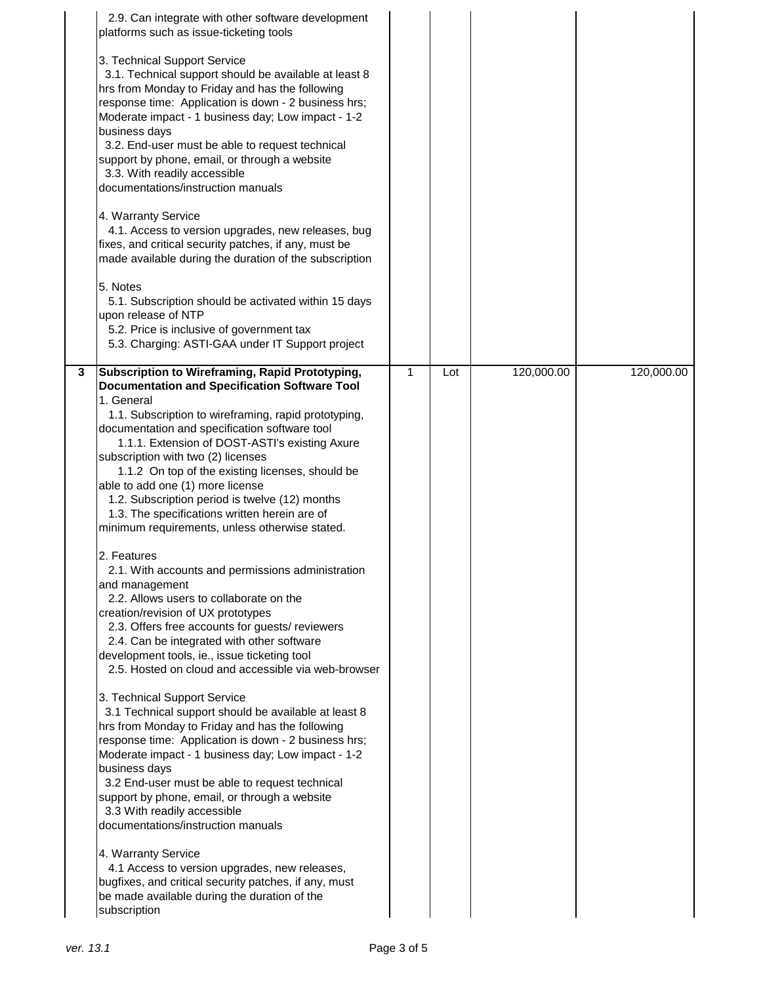|                         | 2.9. Can integrate with other software development<br>platforms such as issue-ticketing tools                                                                                                                                                                                                                                                                                                                                                                                                                                                                                                                                                     |              |     |            |            |
|-------------------------|---------------------------------------------------------------------------------------------------------------------------------------------------------------------------------------------------------------------------------------------------------------------------------------------------------------------------------------------------------------------------------------------------------------------------------------------------------------------------------------------------------------------------------------------------------------------------------------------------------------------------------------------------|--------------|-----|------------|------------|
|                         | 3. Technical Support Service<br>3.1. Technical support should be available at least 8<br>hrs from Monday to Friday and has the following<br>response time: Application is down - 2 business hrs;<br>Moderate impact - 1 business day; Low impact - 1-2<br>business days<br>3.2. End-user must be able to request technical<br>support by phone, email, or through a website<br>3.3. With readily accessible<br>documentations/instruction manuals<br>4. Warranty Service<br>4.1. Access to version upgrades, new releases, bug<br>fixes, and critical security patches, if any, must be<br>made available during the duration of the subscription |              |     |            |            |
|                         | 5. Notes<br>5.1. Subscription should be activated within 15 days                                                                                                                                                                                                                                                                                                                                                                                                                                                                                                                                                                                  |              |     |            |            |
|                         | upon release of NTP                                                                                                                                                                                                                                                                                                                                                                                                                                                                                                                                                                                                                               |              |     |            |            |
|                         | 5.2. Price is inclusive of government tax<br>5.3. Charging: ASTI-GAA under IT Support project                                                                                                                                                                                                                                                                                                                                                                                                                                                                                                                                                     |              |     |            |            |
| $\overline{\mathbf{3}}$ | Subscription to Wireframing, Rapid Prototyping,                                                                                                                                                                                                                                                                                                                                                                                                                                                                                                                                                                                                   | $\mathbf{1}$ | Lot | 120,000.00 | 120,000.00 |
|                         | <b>Documentation and Specification Software Tool</b>                                                                                                                                                                                                                                                                                                                                                                                                                                                                                                                                                                                              |              |     |            |            |
|                         | 1. General                                                                                                                                                                                                                                                                                                                                                                                                                                                                                                                                                                                                                                        |              |     |            |            |
|                         | 1.1. Subscription to wireframing, rapid prototyping,<br>documentation and specification software tool                                                                                                                                                                                                                                                                                                                                                                                                                                                                                                                                             |              |     |            |            |
|                         | 1.1.1. Extension of DOST-ASTI's existing Axure                                                                                                                                                                                                                                                                                                                                                                                                                                                                                                                                                                                                    |              |     |            |            |
|                         | subscription with two (2) licenses                                                                                                                                                                                                                                                                                                                                                                                                                                                                                                                                                                                                                |              |     |            |            |
|                         | 1.1.2 On top of the existing licenses, should be                                                                                                                                                                                                                                                                                                                                                                                                                                                                                                                                                                                                  |              |     |            |            |
|                         | able to add one (1) more license                                                                                                                                                                                                                                                                                                                                                                                                                                                                                                                                                                                                                  |              |     |            |            |
|                         | 1.2. Subscription period is twelve (12) months<br>1.3. The specifications written herein are of                                                                                                                                                                                                                                                                                                                                                                                                                                                                                                                                                   |              |     |            |            |
|                         | minimum requirements, unless otherwise stated.                                                                                                                                                                                                                                                                                                                                                                                                                                                                                                                                                                                                    |              |     |            |            |
|                         |                                                                                                                                                                                                                                                                                                                                                                                                                                                                                                                                                                                                                                                   |              |     |            |            |
|                         | 2. Features                                                                                                                                                                                                                                                                                                                                                                                                                                                                                                                                                                                                                                       |              |     |            |            |
|                         | 2.1. With accounts and permissions administration                                                                                                                                                                                                                                                                                                                                                                                                                                                                                                                                                                                                 |              |     |            |            |
|                         | and management<br>2.2. Allows users to collaborate on the                                                                                                                                                                                                                                                                                                                                                                                                                                                                                                                                                                                         |              |     |            |            |
|                         | creation/revision of UX prototypes                                                                                                                                                                                                                                                                                                                                                                                                                                                                                                                                                                                                                |              |     |            |            |
|                         | 2.3. Offers free accounts for guests/ reviewers                                                                                                                                                                                                                                                                                                                                                                                                                                                                                                                                                                                                   |              |     |            |            |
|                         | 2.4. Can be integrated with other software                                                                                                                                                                                                                                                                                                                                                                                                                                                                                                                                                                                                        |              |     |            |            |
|                         | development tools, ie., issue ticketing tool                                                                                                                                                                                                                                                                                                                                                                                                                                                                                                                                                                                                      |              |     |            |            |
|                         | 2.5. Hosted on cloud and accessible via web-browser                                                                                                                                                                                                                                                                                                                                                                                                                                                                                                                                                                                               |              |     |            |            |
|                         | 3. Technical Support Service                                                                                                                                                                                                                                                                                                                                                                                                                                                                                                                                                                                                                      |              |     |            |            |
|                         | 3.1 Technical support should be available at least 8                                                                                                                                                                                                                                                                                                                                                                                                                                                                                                                                                                                              |              |     |            |            |
|                         | hrs from Monday to Friday and has the following                                                                                                                                                                                                                                                                                                                                                                                                                                                                                                                                                                                                   |              |     |            |            |
|                         | response time: Application is down - 2 business hrs;<br>Moderate impact - 1 business day; Low impact - 1-2                                                                                                                                                                                                                                                                                                                                                                                                                                                                                                                                        |              |     |            |            |
|                         | business days                                                                                                                                                                                                                                                                                                                                                                                                                                                                                                                                                                                                                                     |              |     |            |            |
|                         | 3.2 End-user must be able to request technical                                                                                                                                                                                                                                                                                                                                                                                                                                                                                                                                                                                                    |              |     |            |            |
|                         | support by phone, email, or through a website                                                                                                                                                                                                                                                                                                                                                                                                                                                                                                                                                                                                     |              |     |            |            |
|                         | 3.3 With readily accessible                                                                                                                                                                                                                                                                                                                                                                                                                                                                                                                                                                                                                       |              |     |            |            |
|                         | documentations/instruction manuals                                                                                                                                                                                                                                                                                                                                                                                                                                                                                                                                                                                                                |              |     |            |            |
|                         | 4. Warranty Service                                                                                                                                                                                                                                                                                                                                                                                                                                                                                                                                                                                                                               |              |     |            |            |
|                         | 4.1 Access to version upgrades, new releases,                                                                                                                                                                                                                                                                                                                                                                                                                                                                                                                                                                                                     |              |     |            |            |
|                         | bugfixes, and critical security patches, if any, must                                                                                                                                                                                                                                                                                                                                                                                                                                                                                                                                                                                             |              |     |            |            |
|                         | be made available during the duration of the<br>subscription                                                                                                                                                                                                                                                                                                                                                                                                                                                                                                                                                                                      |              |     |            |            |
|                         |                                                                                                                                                                                                                                                                                                                                                                                                                                                                                                                                                                                                                                                   |              |     |            |            |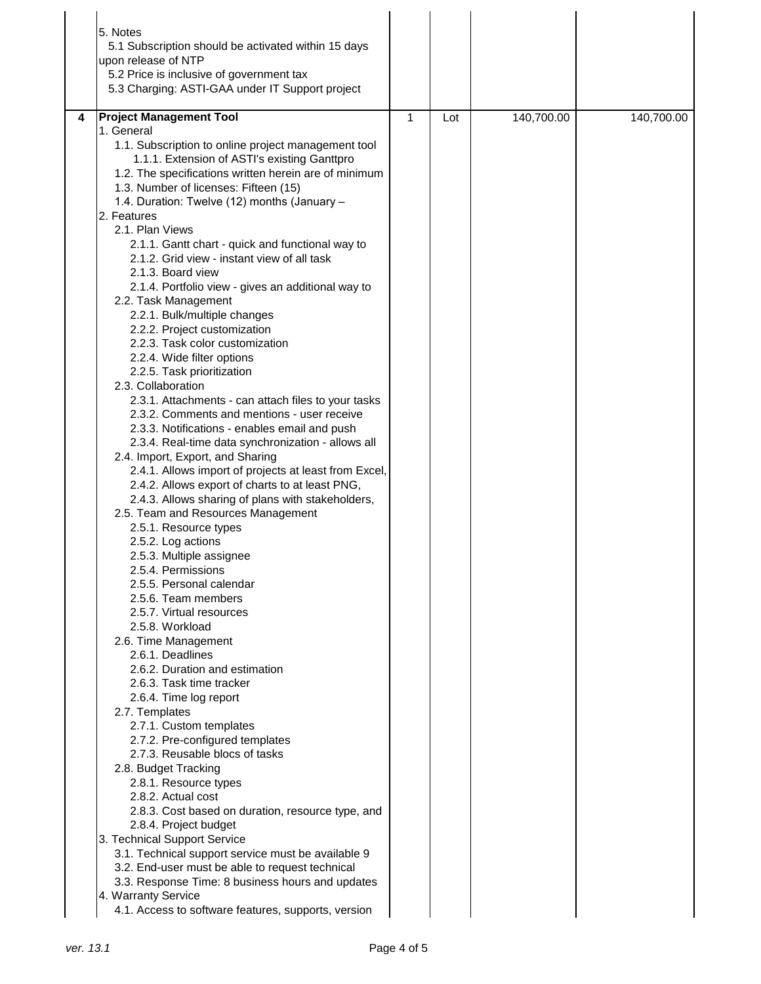| 5. Notes<br>5.1 Subscription should be activated within 15 days<br>upon release of NTP<br>5.2 Price is inclusive of government tax<br>5.3 Charging: ASTI-GAA under IT Support project                                                                                                                                                                                                                                                                                                                                                                                                                                                                                                                                                                                                                                                                                                                                                                                                                                                                                                                                                                                                                                                                                                                                                                                                                                                                                                                                                                                                                                                                                                                                                                                                                                                                                                                                                                                                                                             |              |     |            |            |
|-----------------------------------------------------------------------------------------------------------------------------------------------------------------------------------------------------------------------------------------------------------------------------------------------------------------------------------------------------------------------------------------------------------------------------------------------------------------------------------------------------------------------------------------------------------------------------------------------------------------------------------------------------------------------------------------------------------------------------------------------------------------------------------------------------------------------------------------------------------------------------------------------------------------------------------------------------------------------------------------------------------------------------------------------------------------------------------------------------------------------------------------------------------------------------------------------------------------------------------------------------------------------------------------------------------------------------------------------------------------------------------------------------------------------------------------------------------------------------------------------------------------------------------------------------------------------------------------------------------------------------------------------------------------------------------------------------------------------------------------------------------------------------------------------------------------------------------------------------------------------------------------------------------------------------------------------------------------------------------------------------------------------------------|--------------|-----|------------|------------|
| <b>Project Management Tool</b><br>4<br>1. General<br>1.1. Subscription to online project management tool<br>1.1.1. Extension of ASTI's existing Ganttpro<br>1.2. The specifications written herein are of minimum<br>1.3. Number of licenses: Fifteen (15)<br>1.4. Duration: Twelve (12) months (January -<br>2. Features<br>2.1. Plan Views<br>2.1.1. Gantt chart - quick and functional way to<br>2.1.2. Grid view - instant view of all task<br>2.1.3. Board view<br>2.1.4. Portfolio view - gives an additional way to<br>2.2. Task Management<br>2.2.1. Bulk/multiple changes<br>2.2.2. Project customization<br>2.2.3. Task color customization<br>2.2.4. Wide filter options<br>2.2.5. Task prioritization<br>2.3. Collaboration<br>2.3.1. Attachments - can attach files to your tasks<br>2.3.2. Comments and mentions - user receive<br>2.3.3. Notifications - enables email and push<br>2.3.4. Real-time data synchronization - allows all<br>2.4. Import, Export, and Sharing<br>2.4.1. Allows import of projects at least from Excel,<br>2.4.2. Allows export of charts to at least PNG,<br>2.4.3. Allows sharing of plans with stakeholders,<br>2.5. Team and Resources Management<br>2.5.1. Resource types<br>2.5.2. Log actions<br>2.5.3. Multiple assignee<br>2.5.4. Permissions<br>2.5.5. Personal calendar<br>2.5.6. Team members<br>2.5.7. Virtual resources<br>2.5.8. Workload<br>2.6. Time Management<br>2.6.1. Deadlines<br>2.6.2. Duration and estimation<br>2.6.3. Task time tracker<br>2.6.4. Time log report<br>2.7. Templates<br>2.7.1. Custom templates<br>2.7.2. Pre-configured templates<br>2.7.3. Reusable blocs of tasks<br>2.8. Budget Tracking<br>2.8.1. Resource types<br>2.8.2. Actual cost<br>2.8.3. Cost based on duration, resource type, and<br>2.8.4. Project budget<br>3. Technical Support Service<br>3.1. Technical support service must be available 9<br>3.2. End-user must be able to request technical<br>3.3. Response Time: 8 business hours and updates<br>4. Warranty Service | $\mathbf{1}$ | Lot | 140,700.00 | 140,700.00 |